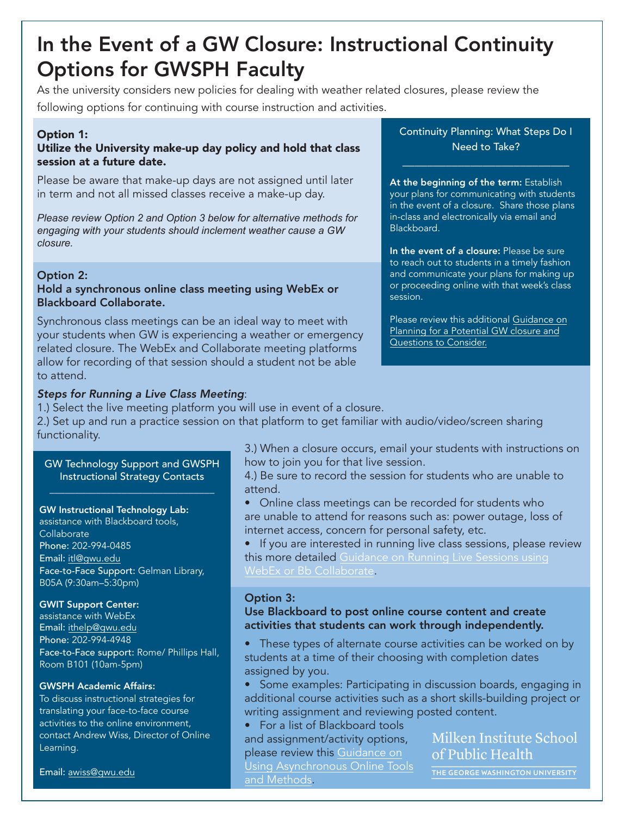# In the Event of a GW Closure: Instructional Continuity Options for GWSPH Faculty

As the university considers new policies for dealing with weather related closures, please review the following options for continuing with course instruction and activities.

## Option 1:

## Utilize the University make-up day policy and hold that class session at a future date.

Please be aware that make-up days are not assigned until later in term and not all missed classes receive a make-up day.

*Please review Option 2 and Option 3 below for alternative methods for engaging with your students should inclement weather cause a GW closure.*

## Option 2:

### Hold a synchronous online class meeting using WebEx or Blackboard Collaborate.

Synchronous class meetings can be an ideal way to meet with your students when GW is experiencing a weather or emergency related closure. The WebEx and Collaborate meeting platforms allow for recording of that session should a student not be able to attend.

## *Steps for Running a Live Class Meeting*:

1.) Select the live meeting platform you will use in event of a closure.

2.) Set up and run a practice session on that platform to get familiar with audio/video/screen sharing functionality.

#### GW Technology Support and GWSPH Instructional Strategy Contacts

## GW Instructional Technology Lab:

assistance with Blackboard tools, **Collaborate** Phone: 202-994-0485 Email: itl@gwu.edu Face-to-Face Support: Gelman Library, B05A (9:30am–5:30pm)

#### GWIT Support Center:

assistance with WebEx Email: ithelp@gwu.edu Phone: 202-994-4948 Face-to-Face support: Rome/ Phillips Hall, Room B101 (10am-5pm)

#### GWSPH Academic Affairs:

To discuss instructional strategies for translating your face-to-face course activities to the online environment, contact Andrew Wiss, Director of Online Learning.

Email: awiss@gwu.edu

3.) When a closure occurs, email your students with instructions on how to join you for that live session.

4.) Be sure to record the session for students who are unable to attend.

• Online class meetings can be recorded for students who are unable to attend for reasons such as: power outage, loss of internet access, concern for personal safety, etc.

If you are interested in running live class sessions, please review this more detailed [Guidance on Running Live Sessions using](#page-2-0) [WebEx or Bb Collaborate.](#page-2-0)

# Option 3:

Use Blackboard to post online course content and create activities that students can work through independently.

- These types of alternate course activities can be worked on by students at a time of their choosing with completion dates assigned by you.
- Some examples: Participating in discussion boards, engaging in additional course activities such as a short skills-building project or writing assignment and reviewing posted content.

• For a list of Blackboard tools and assignment/activity options, please review this Guidance on [Using Asynchronous Online Tools](#page-3-0) and Methods.

# Milken Institute School of Public Health

THE GEORGE WASHINGTON UNIVERSITY

Continuity Planning: What Steps Do I Need to Take?

\_\_\_\_\_\_\_\_\_\_\_\_\_\_\_\_\_\_\_\_\_\_\_\_\_\_\_

#### At the beginning of the term: Establish

your plans for communicating with students in the event of a closure. Share those plans in-class and electronically via email and Blackboard.

In the event of a closure: Please be sure to reach out to students in a timely fashion and communicate your plans for making up or proceeding online with that week's class session.

Please review this additional Guidance on Planning for a Potential GW closure and Questions to Consider.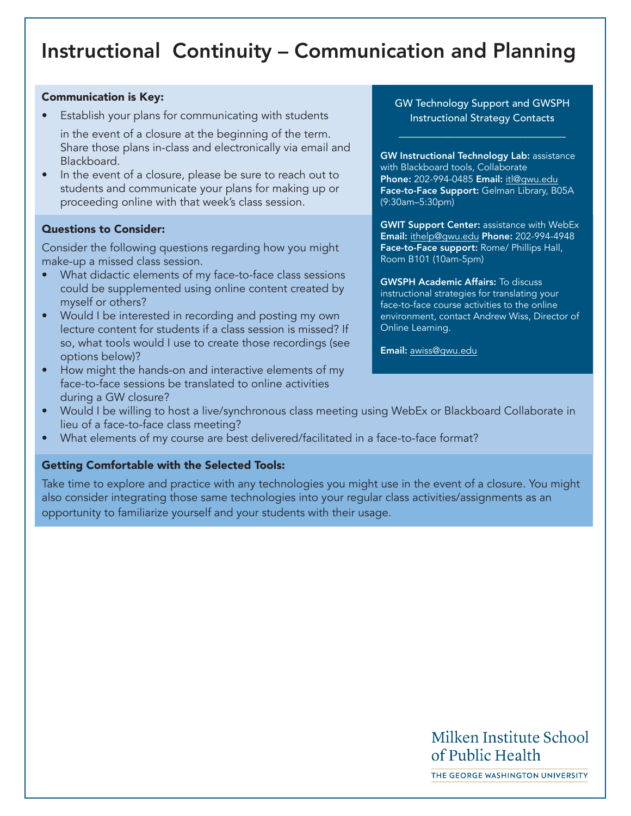# <span id="page-1-0"></span>Instructional Continuity – Communication and Planning

## Communication is Key:

Establish your plans for communicating with students

in the event of a closure at the beginning of the term. Share those plans in-class and electronically via email and Blackboard.

• In the event of a closure, please be sure to reach out to students and communicate your plans for making up or proceeding online with that week's class session.

# Questions to Consider:

Consider the following questions regarding how you might make-up a missed class session.

- What didactic elements of my face-to-face class sessions could be supplemented using online content created by myself or others?
- Would I be interested in recording and posting my own lecture content for students if a class session is missed? If so, what tools would I use to create those recordings (see options below)?
- How might the hands-on and interactive elements of my face-to-face sessions be translated to online activities during a GW closure?

# GW Technology Support and GWSPH Instructional Strategy Contacts

\_\_\_\_\_\_\_\_\_\_\_\_\_\_\_\_\_\_\_\_\_\_\_\_\_\_\_

GW Instructional Technology Lab: assistance with Blackboard tools, Collaborate Phone: 202-994-0485 Email: itl@gwu.edu Face-to-Face Support: Gelman Library, B05A (9:30am–5:30pm)

**GWIT Support Center: assistance with WebEx** Email: ithelp@gwu.edu Phone: 202-994-4948 Face-to-Face support: Rome/ Phillips Hall, Room B101 (10am-5pm)

GWSPH Academic Affairs: To discuss instructional strategies for translating your face-to-face course activities to the online environment, contact Andrew Wiss, Director of Online Learning.

Email: awiss@gwu.edu

- Would I be willing to host a live/synchronous class meeting using WebEx or Blackboard Collaborate in lieu of a face-to-face class meeting?
- What elements of my course are best delivered/facilitated in a face-to-face format?

# Getting Comfortable with the Selected Tools:

Take time to explore and practice with any technologies you might use in the event of a closure. You might also consider integrating those same technologies into your regular class activities/assignments as an opportunity to familiarize yourself and your students with their usage.

# Milken Institute School of Public Health

THE GEORGE WASHINGTON UNIVERSITY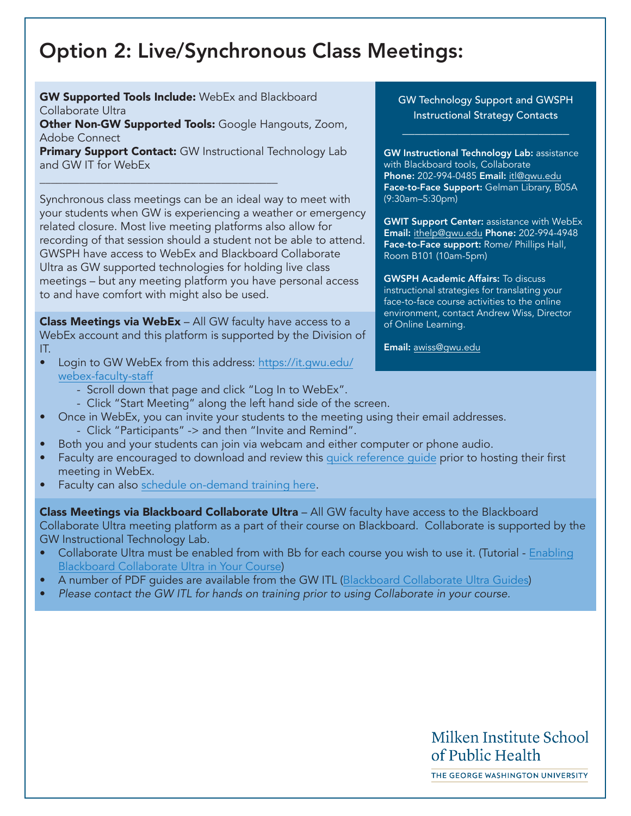# <span id="page-2-0"></span>Option 2: Live/Synchronous Class Meetings:

**GW Supported Tools Include:** WebEx and Blackboard Collaborate Ultra

\_\_\_\_\_\_\_\_\_\_\_\_\_\_\_\_\_\_\_\_\_\_\_\_\_\_\_\_\_\_\_\_\_\_\_\_\_\_\_\_\_\_

Other Non-GW Supported Tools: Google Hangouts, Zoom, Adobe Connect

**Primary Support Contact:** GW Instructional Technology Lab and GW IT for WebEx

Synchronous class meetings can be an ideal way to meet with your students when GW is experiencing a weather or emergency related closure. Most live meeting platforms also allow for recording of that session should a student not be able to attend. GWSPH have access to WebEx and Blackboard Collaborate Ultra as GW supported technologies for holding live class meetings – but any meeting platform you have personal access to and have comfort with might also be used.

Class Meetings via WebEx - All GW faculty have access to a WebEx account and this platform is supported by the Division of IT.

- Login to GW WebEx from this address: [https://it.gwu.edu/](https://it.gwu.edu/webex-faculty-staff) [webex-faculty-staff](https://it.gwu.edu/webex-faculty-staff)
	- Scroll down that page and click "Log In to WebEx".
	- Click "Start Meeting" along the left hand side of the screen.
- Once in WebEx, you can invite your students to the meeting using their email addresses.
	- Click "Participants" -> and then "Invite and Remind".
- Both you and your students can join via webcam and either computer or phone audio.
- Faculty are encouraged to download and review this [quick reference guide](https://gwu-myit.onbmc.com/dwp/app/#/knowledge/KBA00000522/rkm) prior to hosting their first meeting in WebEx.
- Faculty can als[o schedule on-demand training here.](https://gwu-myit.onbmc.com/dwp/app/#/catalog)

**Class Meetings via Blackboard Collaborate Ultra** – All GW faculty have access to the Blackboard Collaborate Ultra meeting platform as a part of their course on Blackboard. Collaborate is supported by the GW Instructional Technology Lab.

- Collaborate Ultra must be enabled from with Bb for each course you wish to use it. (Tutorial  [Enabling](https://itl.gwu.edu/sites/g/files/zaxdzs1326/f/downloads/FOSS_CollabUltraEnable.pdf) [Blackboard Collaborate Ultra in Your Course\)](https://itl.gwu.edu/sites/g/files/zaxdzs1326/f/downloads/FOSS_CollabUltraEnable.pdf)
- A number of PDF guides are available from the GW ITL [\(Blackboard Collaborate Ultra Guides\)](https://itl.gwu.edu/faculty-guides)
- *Please contact the GW ITL for hands on training prior to using Collaborate in your course.*

# GW Technology Support and GWSPH Instructional Strategy Contacts

\_\_\_\_\_\_\_\_\_\_\_\_\_\_\_\_\_\_\_\_\_\_\_\_\_\_\_

GW Instructional Technology Lab: assistance with Blackboard tools, Collaborate Phone: 202-994-0485 Email: itl@gwu.edu Face-to-Face Support: Gelman Library, B05A (9:30am–5:30pm)

**GWIT Support Center: assistance with WebEx** Email: ithelp@gwu.edu Phone: 202-994-4948 Face-to-Face support: Rome/ Phillips Hall, Room B101 (10am-5pm)

GWSPH Academic Affairs: To discuss instructional strategies for translating your face-to-face course activities to the online environment, contact Andrew Wiss, Director of Online Learning.

Email: awiss@gwu.edu

# Milken Institute School of Public Health

THE GEORGE WASHINGTON UNIVERSITY